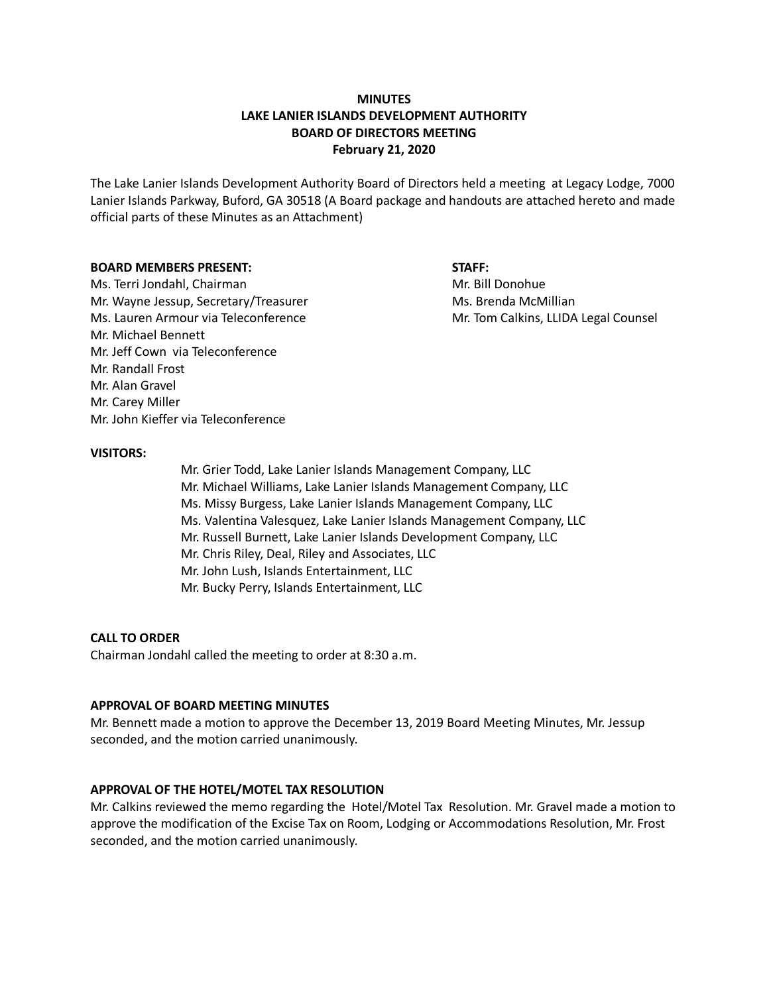# **MINUTES LAKE LANIER ISLANDS DEVELOPMENT AUTHORITY BOARD OF DIRECTORS MEETING February 21, 2020**

The Lake Lanier Islands Development Authority Board of Directors held a meeting at Legacy Lodge, 7000 Lanier Islands Parkway, Buford, GA 30518 (A Board package and handouts are attached hereto and made official parts of these Minutes as an Attachment)

#### **BOARD MEMBERS PRESENT: STAFF:**

Ms. Terri Jondahl, Chairman Mr. Bill Donohue Mr. Wayne Jessup, Secretary/Treasurer Microsoft Mus. Brenda McMillian Ms. Lauren Armour via Teleconference Mr. Tom Calkins, LLIDA Legal Counsel Mr. Michael Bennett Mr. Jeff Cown via Teleconference Mr. Randall Frost Mr. Alan Gravel Mr. Carey Miller Mr. John Kieffer via Teleconference

### **VISITORS:**

Mr. Grier Todd, Lake Lanier Islands Management Company, LLC Mr. Michael Williams, Lake Lanier Islands Management Company, LLC Ms. Missy Burgess, Lake Lanier Islands Management Company, LLC Ms. Valentina Valesquez, Lake Lanier Islands Management Company, LLC Mr. Russell Burnett, Lake Lanier Islands Development Company, LLC Mr. Chris Riley, Deal, Riley and Associates, LLC Mr. John Lush, Islands Entertainment, LLC Mr. Bucky Perry, Islands Entertainment, LLC

### **CALL TO ORDER**

Chairman Jondahl called the meeting to order at 8:30 a.m.

#### **APPROVAL OF BOARD MEETING MINUTES**

Mr. Bennett made a motion to approve the December 13, 2019 Board Meeting Minutes, Mr. Jessup seconded, and the motion carried unanimously.

## **APPROVAL OF THE HOTEL/MOTEL TAX RESOLUTION**

Mr. Calkins reviewed the memo regarding the Hotel/Motel Tax Resolution. Mr. Gravel made a motion to approve the modification of the Excise Tax on Room, Lodging or Accommodations Resolution, Mr. Frost seconded, and the motion carried unanimously.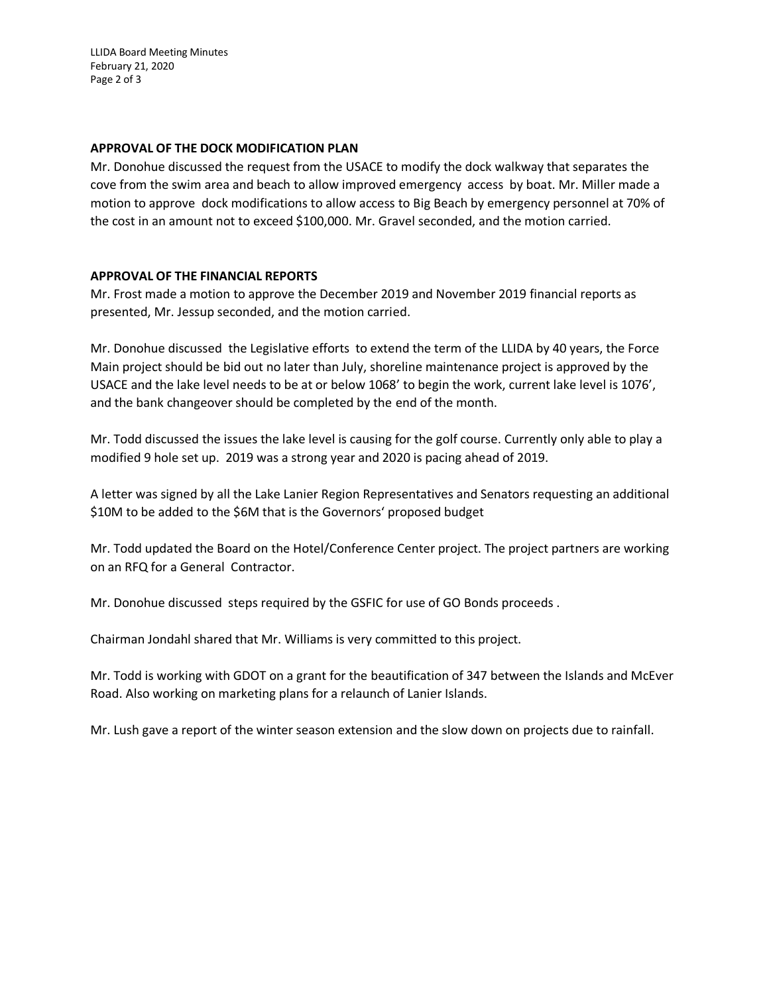LLIDA Board Meeting Minutes February 21, 2020 Page 2 of 3

## **APPROVAL OF THE DOCK MODIFICATION PLAN**

Mr. Donohue discussed the request from the USACE to modify the dock walkway that separates the cove from the swim area and beach to allow improved emergency access by boat. Mr. Miller made a motion to approve dock modifications to allow access to Big Beach by emergency personnel at 70% of the cost in an amount not to exceed \$100,000. Mr. Gravel seconded, and the motion carried.

## **APPROVAL OF THE FINANCIAL REPORTS**

Mr. Frost made a motion to approve the December 2019 and November 2019 financial reports as presented, Mr. Jessup seconded, and the motion carried.

Mr. Donohue discussed the Legislative efforts to extend the term of the LLIDA by 40 years, the Force Main project should be bid out no later than July, shoreline maintenance project is approved by the USACE and the lake level needs to be at or below 1068' to begin the work, current lake level is 1076', and the bank changeover should be completed by the end of the month.

Mr. Todd discussed the issues the lake level is causing for the golf course. Currently only able to play a modified 9 hole set up. 2019 was a strong year and 2020 is pacing ahead of 2019.

A letter was signed by all the Lake Lanier Region Representatives and Senators requesting an additional \$10M to be added to the \$6M that is the Governors' proposed budget

Mr. Todd updated the Board on the Hotel/Conference Center project. The project partners are working on an RFQ for a General Contractor.

Mr. Donohue discussed steps required by the GSFIC for use of GO Bonds proceeds .

Chairman Jondahl shared that Mr. Williams is very committed to this project.

Mr. Todd is working with GDOT on a grant for the beautification of 347 between the Islands and McEver Road. Also working on marketing plans for a relaunch of Lanier Islands.

Mr. Lush gave a report of the winter season extension and the slow down on projects due to rainfall.